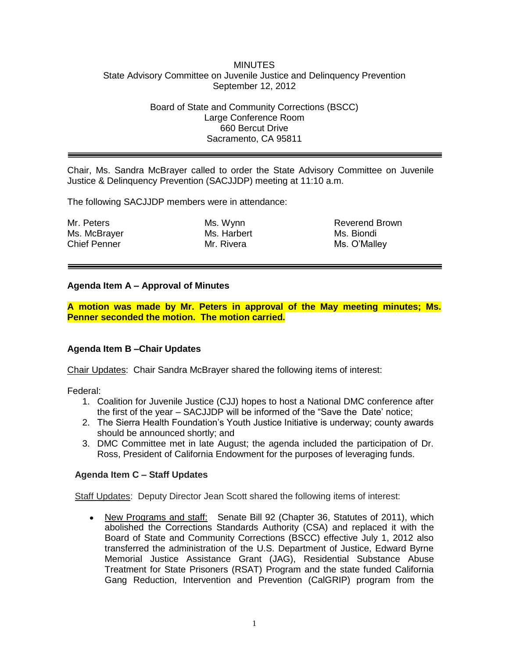## **MINUTES** State Advisory Committee on Juvenile Justice and Delinquency Prevention September 12, 2012

Board of State and Community Corrections (BSCC) Large Conference Room 660 Bercut Drive Sacramento, CA 95811

Chair, Ms. Sandra McBrayer called to order the State Advisory Committee on Juvenile Justice & Delinquency Prevention (SACJJDP) meeting at 11:10 a.m.

The following SACJJDP members were in attendance:

Mr. Peters Ms. McBrayer Chief Penner

Ms. Wynn Ms. Harbert Mr. Rivera

Reverend Brown Ms. Biondi Ms. O'Malley

## **Agenda Item A – Approval of Minutes**

**A motion was made by Mr. Peters in approval of the May meeting minutes; Ms. Penner seconded the motion. The motion carried.** 

#### **Agenda Item B –Chair Updates**

Chair Updates: Chair Sandra McBrayer shared the following items of interest:

Federal:

- 1. Coalition for Juvenile Justice (CJJ) hopes to host a National DMC conference after the first of the year – SACJJDP will be informed of the "Save the Date' notice;
- 2. The Sierra Health Foundation's Youth Justice Initiative is underway; county awards should be announced shortly; and
- 3. DMC Committee met in late August; the agenda included the participation of Dr. Ross, President of California Endowment for the purposes of leveraging funds.

# **Agenda Item C – Staff Updates**

Staff Updates: Deputy Director Jean Scott shared the following items of interest:

New Programs and staff: Senate Bill 92 (Chapter 36, Statutes of 2011), which  $\bullet$ abolished the Corrections Standards Authority (CSA) and replaced it with the Board of State and Community Corrections (BSCC) effective July 1, 2012 also transferred the administration of the U.S. Department of Justice, Edward Byrne Memorial Justice Assistance Grant (JAG), Residential Substance Abuse Treatment for State Prisoners (RSAT) Program and the state funded California Gang Reduction, Intervention and Prevention (CalGRIP) program from the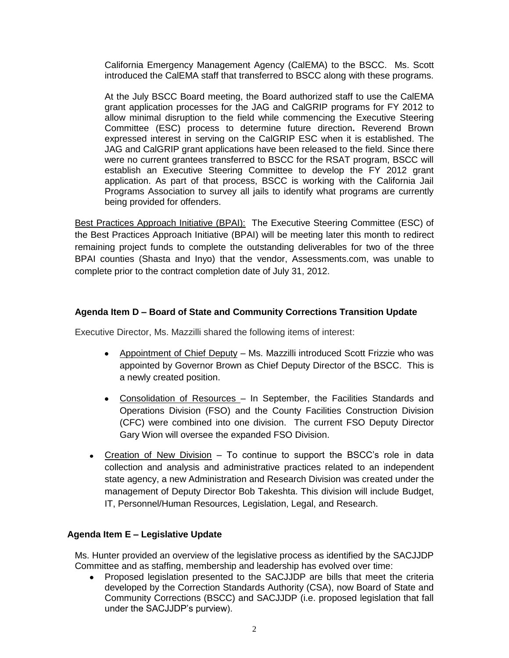California Emergency Management Agency (CalEMA) to the BSCC. Ms. Scott introduced the CalEMA staff that transferred to BSCC along with these programs.

At the July BSCC Board meeting, the Board authorized staff to use the CalEMA grant application processes for the JAG and CalGRIP programs for FY 2012 to allow minimal disruption to the field while commencing the Executive Steering Committee (ESC) process to determine future direction**.** Reverend Brown expressed interest in serving on the CalGRIP ESC when it is established. The JAG and CalGRIP grant applications have been released to the field. Since there were no current grantees transferred to BSCC for the RSAT program, BSCC will establish an Executive Steering Committee to develop the FY 2012 grant application. As part of that process, BSCC is working with the California Jail Programs Association to survey all jails to identify what programs are currently being provided for offenders.

Best Practices Approach Initiative (BPAI): The Executive Steering Committee (ESC) of the Best Practices Approach Initiative (BPAI) will be meeting later this month to redirect remaining project funds to complete the outstanding deliverables for two of the three BPAI counties (Shasta and Inyo) that the vendor, Assessments.com, was unable to complete prior to the contract completion date of July 31, 2012.

# **Agenda Item D – Board of State and Community Corrections Transition Update**

Executive Director, Ms. Mazzilli shared the following items of interest:

- Appointment of Chief Deputy Ms. Mazzilli introduced Scott Frizzie who was appointed by Governor Brown as Chief Deputy Director of the BSCC. This is a newly created position.
- Consolidation of Resources In September, the Facilities Standards and Operations Division (FSO) and the County Facilities Construction Division (CFC) were combined into one division. The current FSO Deputy Director Gary Wion will oversee the expanded FSO Division.
- Creation of New Division To continue to support the BSCC's role in data collection and analysis and administrative practices related to an independent state agency, a new Administration and Research Division was created under the management of Deputy Director Bob Takeshta. This division will include Budget, IT, Personnel/Human Resources, Legislation, Legal, and Research.

# **Agenda Item E – Legislative Update**

Ms. Hunter provided an overview of the legislative process as identified by the SACJJDP Committee and as staffing, membership and leadership has evolved over time:

Proposed legislation presented to the SACJJDP are bills that meet the criteria developed by the Correction Standards Authority (CSA), now Board of State and Community Corrections (BSCC) and SACJJDP (i.e. proposed legislation that fall under the SACJJDP's purview).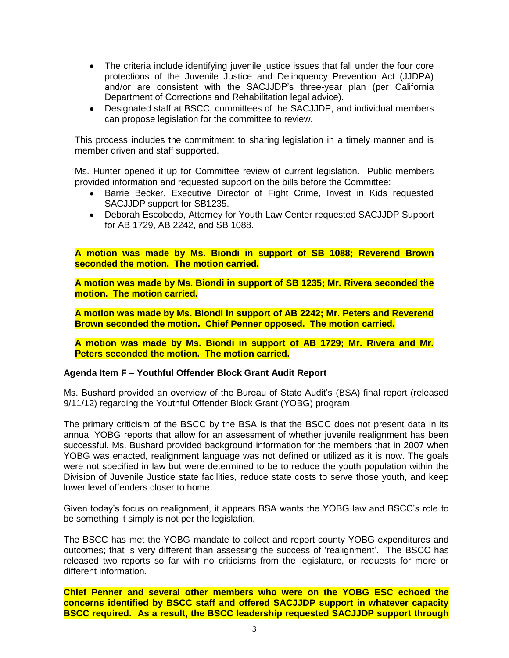- The criteria include identifying juvenile justice issues that fall under the four core protections of the Juvenile Justice and Delinquency Prevention Act (JJDPA) and/or are consistent with the SACJJDP's three-year plan (per California Department of Corrections and Rehabilitation legal advice).
- Designated staff at BSCC, committees of the SACJJDP, and individual members can propose legislation for the committee to review.

This process includes the commitment to sharing legislation in a timely manner and is member driven and staff supported.

Ms. Hunter opened it up for Committee review of current legislation. Public members provided information and requested support on the bills before the Committee:

- Barrie Becker, Executive Director of Fight Crime, Invest in Kids requested SACJJDP support for SB1235.
- Deborah Escobedo, Attorney for Youth Law Center requested SACJJDP Support for AB 1729, AB 2242, and SB 1088.

**A motion was made by Ms. Biondi in support of SB 1088; Reverend Brown seconded the motion. The motion carried.** 

**A motion was made by Ms. Biondi in support of SB 1235; Mr. Rivera seconded the motion. The motion carried.** 

**A motion was made by Ms. Biondi in support of AB 2242; Mr. Peters and Reverend Brown seconded the motion. Chief Penner opposed. The motion carried.**

**A motion was made by Ms. Biondi in support of AB 1729; Mr. Rivera and Mr. Peters seconded the motion. The motion carried.** 

#### **Agenda Item F – Youthful Offender Block Grant Audit Report**

Ms. Bushard provided an overview of the Bureau of State Audit's (BSA) final report (released 9/11/12) regarding the Youthful Offender Block Grant (YOBG) program.

The primary criticism of the BSCC by the BSA is that the BSCC does not present data in its annual YOBG reports that allow for an assessment of whether juvenile realignment has been successful. Ms. Bushard provided background information for the members that in 2007 when YOBG was enacted, realignment language was not defined or utilized as it is now. The goals were not specified in law but were determined to be to reduce the youth population within the Division of Juvenile Justice state facilities, reduce state costs to serve those youth, and keep lower level offenders closer to home.

Given today's focus on realignment, it appears BSA wants the YOBG law and BSCC's role to be something it simply is not per the legislation.

The BSCC has met the YOBG mandate to collect and report county YOBG expenditures and outcomes; that is very different than assessing the success of 'realignment'. The BSCC has released two reports so far with no criticisms from the legislature, or requests for more or different information.

**Chief Penner and several other members who were on the YOBG ESC echoed the concerns identified by BSCC staff and offered SACJJDP support in whatever capacity BSCC required. As a result, the BSCC leadership requested SACJJDP support through**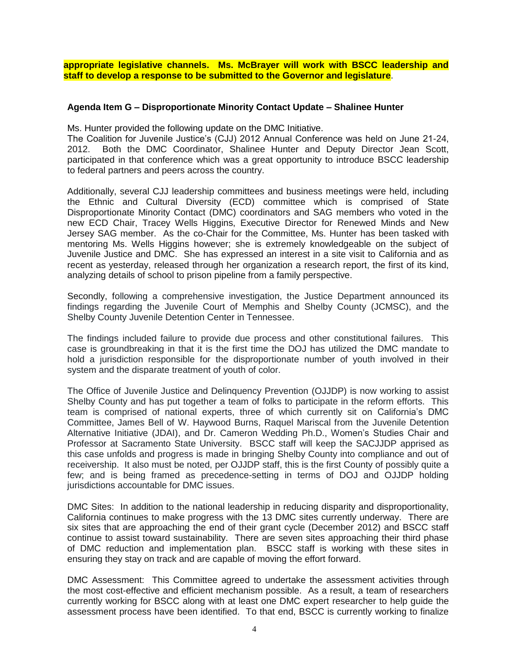**appropriate legislative channels. Ms. McBrayer will work with BSCC leadership and staff to develop a response to be submitted to the Governor and legislature**.

#### **Agenda Item G – Disproportionate Minority Contact Update – Shalinee Hunter**

Ms. Hunter provided the following update on the DMC Initiative.

The Coalition for Juvenile Justice's (CJJ) 2012 Annual Conference was held on June 21-24, 2012. Both the DMC Coordinator, Shalinee Hunter and Deputy Director Jean Scott, participated in that conference which was a great opportunity to introduce BSCC leadership to federal partners and peers across the country.

Additionally, several CJJ leadership committees and business meetings were held, including the Ethnic and Cultural Diversity (ECD) committee which is comprised of State Disproportionate Minority Contact (DMC) coordinators and SAG members who voted in the new ECD Chair, Tracey Wells Higgins, Executive Director for Renewed Minds and New Jersey SAG member. As the co-Chair for the Committee, Ms. Hunter has been tasked with mentoring Ms. Wells Higgins however; she is extremely knowledgeable on the subject of Juvenile Justice and DMC. She has expressed an interest in a site visit to California and as recent as yesterday, released through her organization a research report, the first of its kind, analyzing details of school to prison pipeline from a family perspective.

Secondly, following a comprehensive investigation, the Justice Department announced its findings regarding the Juvenile Court of Memphis and Shelby County (JCMSC), and the Shelby County Juvenile Detention Center in Tennessee.

The findings included failure to provide due process and other constitutional failures. This case is groundbreaking in that it is the first time the DOJ has utilized the DMC mandate to hold a jurisdiction responsible for the disproportionate number of youth involved in their system and the disparate treatment of youth of color.

The Office of Juvenile Justice and Delinquency Prevention (OJJDP) is now working to assist Shelby County and has put together a team of folks to participate in the reform efforts. This team is comprised of national experts, three of which currently sit on California's DMC Committee, James Bell of W. Haywood Burns, Raquel Mariscal from the Juvenile Detention Alternative Initiative (JDAI), and Dr. Cameron Wedding Ph.D., Women's Studies Chair and Professor at Sacramento State University. BSCC staff will keep the SACJJDP apprised as this case unfolds and progress is made in bringing Shelby County into compliance and out of receivership. It also must be noted, per OJJDP staff, this is the first County of possibly quite a few; and is being framed as precedence-setting in terms of DOJ and OJJDP holding jurisdictions accountable for DMC issues.

DMC Sites: In addition to the national leadership in reducing disparity and disproportionality, California continues to make progress with the 13 DMC sites currently underway. There are six sites that are approaching the end of their grant cycle (December 2012) and BSCC staff continue to assist toward sustainability. There are seven sites approaching their third phase of DMC reduction and implementation plan. BSCC staff is working with these sites in ensuring they stay on track and are capable of moving the effort forward.

DMC Assessment: This Committee agreed to undertake the assessment activities through the most cost-effective and efficient mechanism possible. As a result, a team of researchers currently working for BSCC along with at least one DMC expert researcher to help guide the assessment process have been identified. To that end, BSCC is currently working to finalize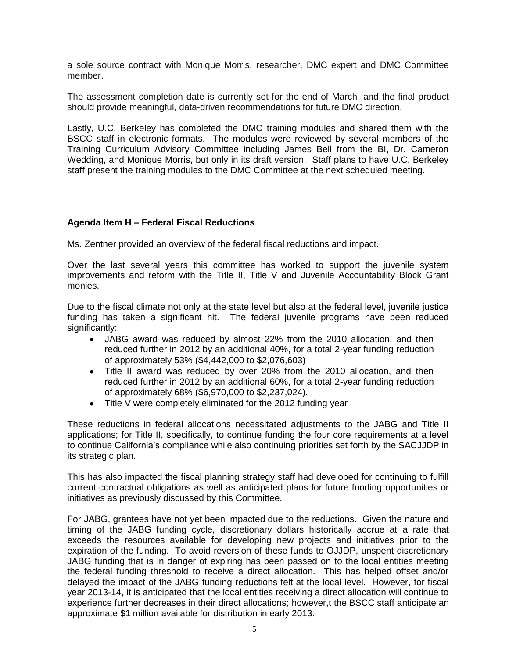a sole source contract with Monique Morris, researcher, DMC expert and DMC Committee member.

The assessment completion date is currently set for the end of March .and the final product should provide meaningful, data-driven recommendations for future DMC direction.

Lastly, U.C. Berkeley has completed the DMC training modules and shared them with the BSCC staff in electronic formats. The modules were reviewed by several members of the Training Curriculum Advisory Committee including James Bell from the BI, Dr. Cameron Wedding, and Monique Morris, but only in its draft version. Staff plans to have U.C. Berkeley staff present the training modules to the DMC Committee at the next scheduled meeting.

# **Agenda Item H – Federal Fiscal Reductions**

Ms. Zentner provided an overview of the federal fiscal reductions and impact.

Over the last several years this committee has worked to support the juvenile system improvements and reform with the Title II, Title V and Juvenile Accountability Block Grant monies.

Due to the fiscal climate not only at the state level but also at the federal level, juvenile justice funding has taken a significant hit. The federal juvenile programs have been reduced significantly:

- JABG award was reduced by almost 22% from the 2010 allocation, and then reduced further in 2012 by an additional 40%, for a total 2-year funding reduction of approximately 53% (\$4,442,000 to \$2,076,603)
- Title II award was reduced by over 20% from the 2010 allocation, and then reduced further in 2012 by an additional 60%, for a total 2-year funding reduction of approximately 68% (\$6,970,000 to \$2,237,024).
- Title V were completely eliminated for the 2012 funding year

These reductions in federal allocations necessitated adjustments to the JABG and Title II applications; for Title II, specifically, to continue funding the four core requirements at a level to continue California's compliance while also continuing priorities set forth by the SACJJDP in its strategic plan.

This has also impacted the fiscal planning strategy staff had developed for continuing to fulfill current contractual obligations as well as anticipated plans for future funding opportunities or initiatives as previously discussed by this Committee.

For JABG, grantees have not yet been impacted due to the reductions. Given the nature and timing of the JABG funding cycle, discretionary dollars historically accrue at a rate that exceeds the resources available for developing new projects and initiatives prior to the expiration of the funding. To avoid reversion of these funds to OJJDP, unspent discretionary JABG funding that is in danger of expiring has been passed on to the local entities meeting the federal funding threshold to receive a direct allocation. This has helped offset and/or delayed the impact of the JABG funding reductions felt at the local level. However, for fiscal year 2013-14, it is anticipated that the local entities receiving a direct allocation will continue to experience further decreases in their direct allocations; however,t the BSCC staff anticipate an approximate \$1 million available for distribution in early 2013.